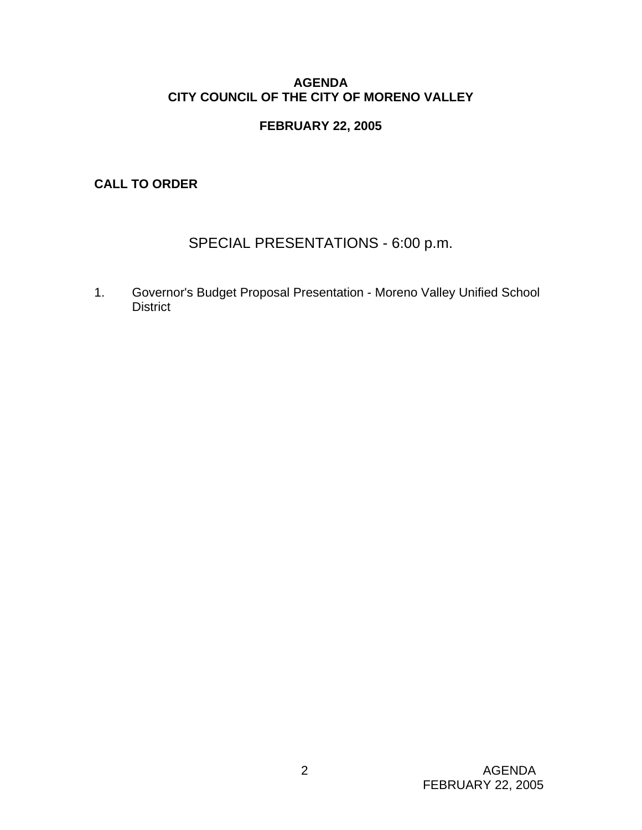# **AGENDA CITY COUNCIL OF THE CITY OF MORENO VALLEY**

# **FEBRUARY 22, 2005**

**CALL TO ORDER** 

# SPECIAL PRESENTATIONS - 6:00 p.m.

1. Governor's Budget Proposal Presentation - Moreno Valley Unified School **District**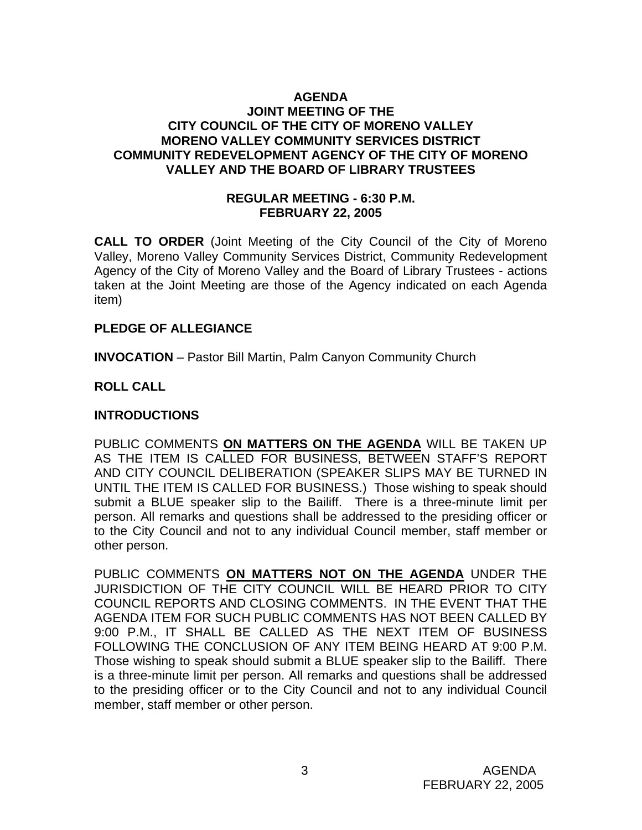### **AGENDA JOINT MEETING OF THE CITY COUNCIL OF THE CITY OF MORENO VALLEY MORENO VALLEY COMMUNITY SERVICES DISTRICT COMMUNITY REDEVELOPMENT AGENCY OF THE CITY OF MORENO VALLEY AND THE BOARD OF LIBRARY TRUSTEES**

### **REGULAR MEETING - 6:30 P.M. FEBRUARY 22, 2005**

**CALL TO ORDER** (Joint Meeting of the City Council of the City of Moreno Valley, Moreno Valley Community Services District, Community Redevelopment Agency of the City of Moreno Valley and the Board of Library Trustees - actions taken at the Joint Meeting are those of the Agency indicated on each Agenda item)

# **PLEDGE OF ALLEGIANCE**

**INVOCATION** – Pastor Bill Martin, Palm Canyon Community Church

# **ROLL CALL**

# **INTRODUCTIONS**

PUBLIC COMMENTS **ON MATTERS ON THE AGENDA** WILL BE TAKEN UP AS THE ITEM IS CALLED FOR BUSINESS, BETWEEN STAFF'S REPORT AND CITY COUNCIL DELIBERATION (SPEAKER SLIPS MAY BE TURNED IN UNTIL THE ITEM IS CALLED FOR BUSINESS.) Those wishing to speak should submit a BLUE speaker slip to the Bailiff. There is a three-minute limit per person. All remarks and questions shall be addressed to the presiding officer or to the City Council and not to any individual Council member, staff member or other person.

PUBLIC COMMENTS **ON MATTERS NOT ON THE AGENDA** UNDER THE JURISDICTION OF THE CITY COUNCIL WILL BE HEARD PRIOR TO CITY COUNCIL REPORTS AND CLOSING COMMENTS. IN THE EVENT THAT THE AGENDA ITEM FOR SUCH PUBLIC COMMENTS HAS NOT BEEN CALLED BY 9:00 P.M., IT SHALL BE CALLED AS THE NEXT ITEM OF BUSINESS FOLLOWING THE CONCLUSION OF ANY ITEM BEING HEARD AT 9:00 P.M. Those wishing to speak should submit a BLUE speaker slip to the Bailiff. There is a three-minute limit per person. All remarks and questions shall be addressed to the presiding officer or to the City Council and not to any individual Council member, staff member or other person.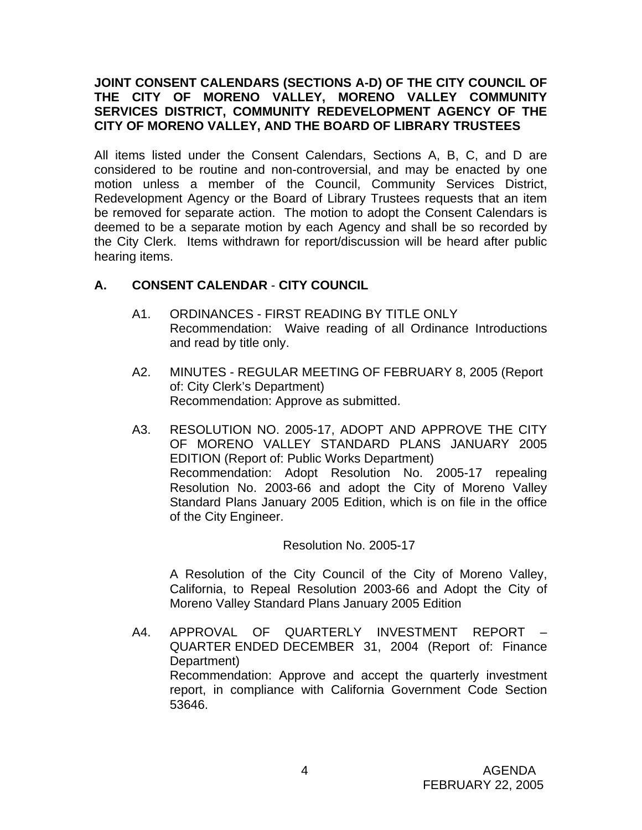# **JOINT CONSENT CALENDARS (SECTIONS A-D) OF THE CITY COUNCIL OF THE CITY OF MORENO VALLEY, MORENO VALLEY COMMUNITY SERVICES DISTRICT, COMMUNITY REDEVELOPMENT AGENCY OF THE CITY OF MORENO VALLEY, AND THE BOARD OF LIBRARY TRUSTEES**

All items listed under the Consent Calendars, Sections A, B, C, and D are considered to be routine and non-controversial, and may be enacted by one motion unless a member of the Council, Community Services District, Redevelopment Agency or the Board of Library Trustees requests that an item be removed for separate action. The motion to adopt the Consent Calendars is deemed to be a separate motion by each Agency and shall be so recorded by the City Clerk. Items withdrawn for report/discussion will be heard after public hearing items.

# **A. CONSENT CALENDAR** - **CITY COUNCIL**

- A1. ORDINANCES FIRST READING BY TITLE ONLY Recommendation: Waive reading of all Ordinance Introductions and read by title only.
- A2. MINUTES REGULAR MEETING OF FEBRUARY 8, 2005 (Report of: City Clerk's Department) Recommendation: Approve as submitted.
- A3. RESOLUTION NO. 2005-17, ADOPT AND APPROVE THE CITY OF MORENO VALLEY STANDARD PLANS JANUARY 2005 EDITION (Report of: Public Works Department) Recommendation: Adopt Resolution No. 2005-17 repealing Resolution No. 2003-66 and adopt the City of Moreno Valley Standard Plans January 2005 Edition, which is on file in the office of the City Engineer.

# Resolution No. 2005-17

A Resolution of the City Council of the City of Moreno Valley, California, to Repeal Resolution 2003-66 and Adopt the City of Moreno Valley Standard Plans January 2005 Edition

A4. APPROVAL OF QUARTERLY INVESTMENT REPORT – QUARTER ENDED DECEMBER 31, 2004 (Report of: Finance Department) Recommendation: Approve and accept the quarterly investment report, in compliance with California Government Code Section 53646.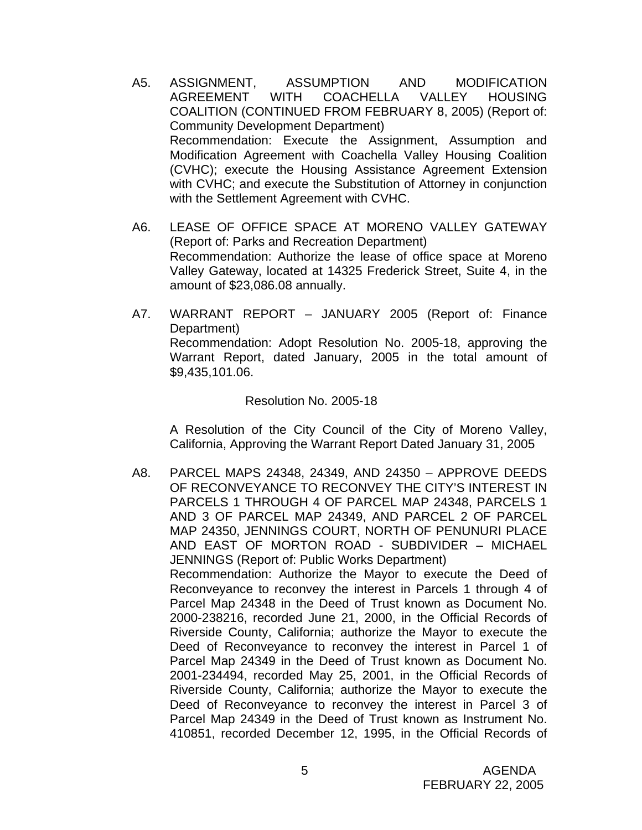- A5. ASSIGNMENT, ASSUMPTION AND MODIFICATION AGREEMENT WITH COACHELLA VALLEY HOUSING COALITION (CONTINUED FROM FEBRUARY 8, 2005) (Report of: Community Development Department) Recommendation: Execute the Assignment, Assumption and Modification Agreement with Coachella Valley Housing Coalition (CVHC); execute the Housing Assistance Agreement Extension with CVHC; and execute the Substitution of Attorney in conjunction with the Settlement Agreement with CVHC.
- A6. LEASE OF OFFICE SPACE AT MORENO VALLEY GATEWAY (Report of: Parks and Recreation Department) Recommendation: Authorize the lease of office space at Moreno Valley Gateway, located at 14325 Frederick Street, Suite 4, in the amount of \$23,086.08 annually.
- A7. WARRANT REPORT JANUARY 2005 (Report of: Finance Department) Recommendation: Adopt Resolution No. 2005-18, approving the Warrant Report, dated January, 2005 in the total amount of \$9,435,101.06.

#### Resolution No. 2005-18

A Resolution of the City Council of the City of Moreno Valley, California, Approving the Warrant Report Dated January 31, 2005

A8. PARCEL MAPS 24348, 24349, AND 24350 – APPROVE DEEDS OF RECONVEYANCE TO RECONVEY THE CITY'S INTEREST IN PARCELS 1 THROUGH 4 OF PARCEL MAP 24348, PARCELS 1 AND 3 OF PARCEL MAP 24349, AND PARCEL 2 OF PARCEL MAP 24350, JENNINGS COURT, NORTH OF PENUNURI PLACE AND EAST OF MORTON ROAD - SUBDIVIDER – MICHAEL JENNINGS (Report of: Public Works Department) Recommendation: Authorize the Mayor to execute the Deed of Reconveyance to reconvey the interest in Parcels 1 through 4 of Parcel Map 24348 in the Deed of Trust known as Document No. 2000-238216, recorded June 21, 2000, in the Official Records of Riverside County, California; authorize the Mayor to execute the Deed of Reconveyance to reconvey the interest in Parcel 1 of Parcel Map 24349 in the Deed of Trust known as Document No. 2001-234494, recorded May 25, 2001, in the Official Records of Riverside County, California; authorize the Mayor to execute the Deed of Reconveyance to reconvey the interest in Parcel 3 of Parcel Map 24349 in the Deed of Trust known as Instrument No. 410851, recorded December 12, 1995, in the Official Records of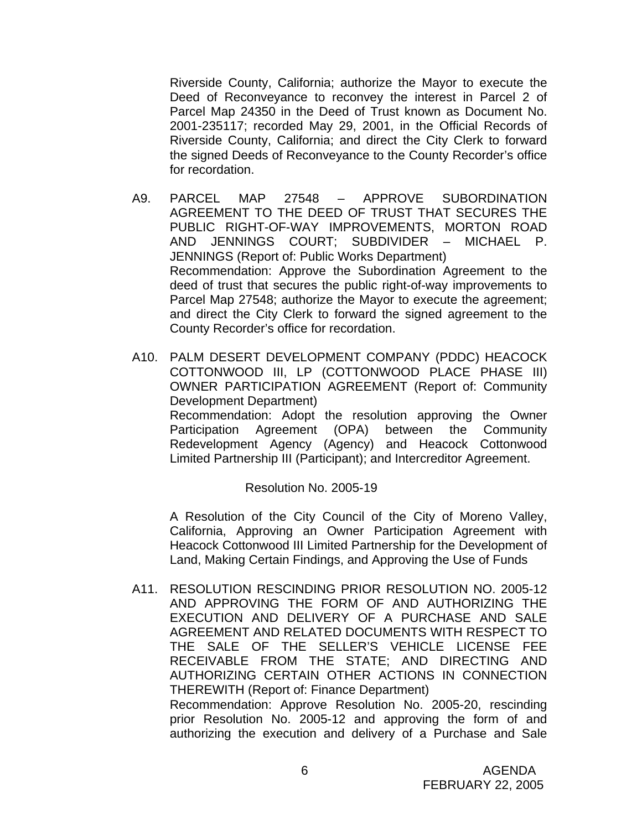Riverside County, California; authorize the Mayor to execute the Deed of Reconveyance to reconvey the interest in Parcel 2 of Parcel Map 24350 in the Deed of Trust known as Document No. 2001-235117; recorded May 29, 2001, in the Official Records of Riverside County, California; and direct the City Clerk to forward the signed Deeds of Reconveyance to the County Recorder's office for recordation.

- A9. PARCEL MAP 27548 APPROVE SUBORDINATION AGREEMENT TO THE DEED OF TRUST THAT SECURES THE PUBLIC RIGHT-OF-WAY IMPROVEMENTS, MORTON ROAD AND JENNINGS COURT; SUBDIVIDER – MICHAEL P. JENNINGS (Report of: Public Works Department) Recommendation: Approve the Subordination Agreement to the deed of trust that secures the public right-of-way improvements to Parcel Map 27548; authorize the Mayor to execute the agreement; and direct the City Clerk to forward the signed agreement to the County Recorder's office for recordation.
- A10. PALM DESERT DEVELOPMENT COMPANY (PDDC) HEACOCK COTTONWOOD III, LP (COTTONWOOD PLACE PHASE III) OWNER PARTICIPATION AGREEMENT (Report of: Community Development Department) Recommendation: Adopt the resolution approving the Owner Participation Agreement (OPA) between the Community Redevelopment Agency (Agency) and Heacock Cottonwood Limited Partnership III (Participant); and Intercreditor Agreement.

Resolution No. 2005-19

A Resolution of the City Council of the City of Moreno Valley, California, Approving an Owner Participation Agreement with Heacock Cottonwood III Limited Partnership for the Development of Land, Making Certain Findings, and Approving the Use of Funds

A11. RESOLUTION RESCINDING PRIOR RESOLUTION NO. 2005-12 AND APPROVING THE FORM OF AND AUTHORIZING THE EXECUTION AND DELIVERY OF A PURCHASE AND SALE AGREEMENT AND RELATED DOCUMENTS WITH RESPECT TO THE SALE OF THE SELLER'S VEHICLE LICENSE FEE RECEIVABLE FROM THE STATE; AND DIRECTING AND AUTHORIZING CERTAIN OTHER ACTIONS IN CONNECTION THEREWITH (Report of: Finance Department) Recommendation: Approve Resolution No. 2005-20, rescinding prior Resolution No. 2005-12 and approving the form of and authorizing the execution and delivery of a Purchase and Sale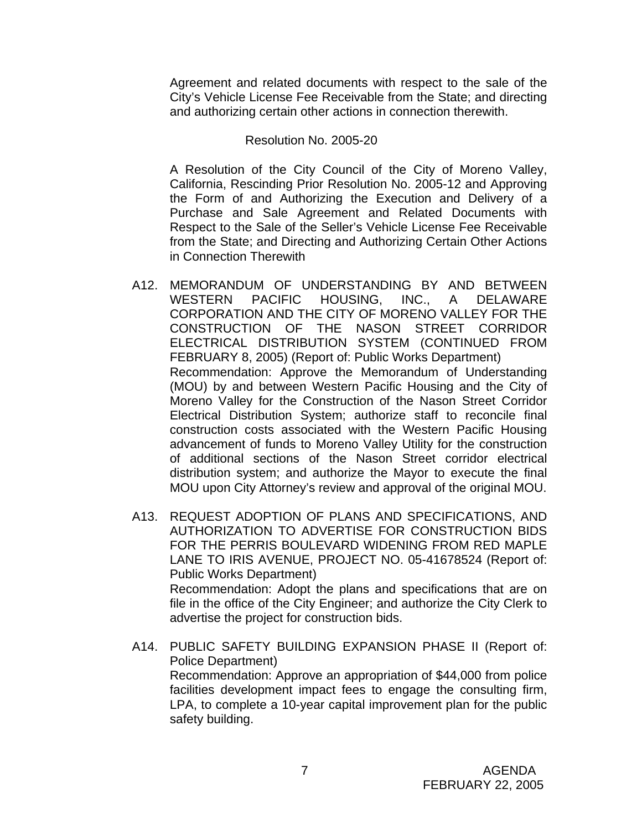Agreement and related documents with respect to the sale of the City's Vehicle License Fee Receivable from the State; and directing and authorizing certain other actions in connection therewith.

### Resolution No. 2005-20

A Resolution of the City Council of the City of Moreno Valley, California, Rescinding Prior Resolution No. 2005-12 and Approving the Form of and Authorizing the Execution and Delivery of a Purchase and Sale Agreement and Related Documents with Respect to the Sale of the Seller's Vehicle License Fee Receivable from the State; and Directing and Authorizing Certain Other Actions in Connection Therewith

- A12. MEMORANDUM OF UNDERSTANDING BY AND BETWEEN WESTERN PACIFIC HOUSING, INC., A DELAWARE CORPORATION AND THE CITY OF MORENO VALLEY FOR THE CONSTRUCTION OF THE NASON STREET CORRIDOR ELECTRICAL DISTRIBUTION SYSTEM (CONTINUED FROM FEBRUARY 8, 2005) (Report of: Public Works Department) Recommendation: Approve the Memorandum of Understanding (MOU) by and between Western Pacific Housing and the City of Moreno Valley for the Construction of the Nason Street Corridor Electrical Distribution System; authorize staff to reconcile final construction costs associated with the Western Pacific Housing advancement of funds to Moreno Valley Utility for the construction of additional sections of the Nason Street corridor electrical distribution system; and authorize the Mayor to execute the final MOU upon City Attorney's review and approval of the original MOU.
- A13. REQUEST ADOPTION OF PLANS AND SPECIFICATIONS, AND AUTHORIZATION TO ADVERTISE FOR CONSTRUCTION BIDS FOR THE PERRIS BOULEVARD WIDENING FROM RED MAPLE LANE TO IRIS AVENUE, PROJECT NO. 05-41678524 (Report of: Public Works Department) Recommendation: Adopt the plans and specifications that are on file in the office of the City Engineer; and authorize the City Clerk to advertise the project for construction bids.
- A14. PUBLIC SAFETY BUILDING EXPANSION PHASE II (Report of: Police Department) Recommendation: Approve an appropriation of \$44,000 from police facilities development impact fees to engage the consulting firm, LPA, to complete a 10-year capital improvement plan for the public safety building.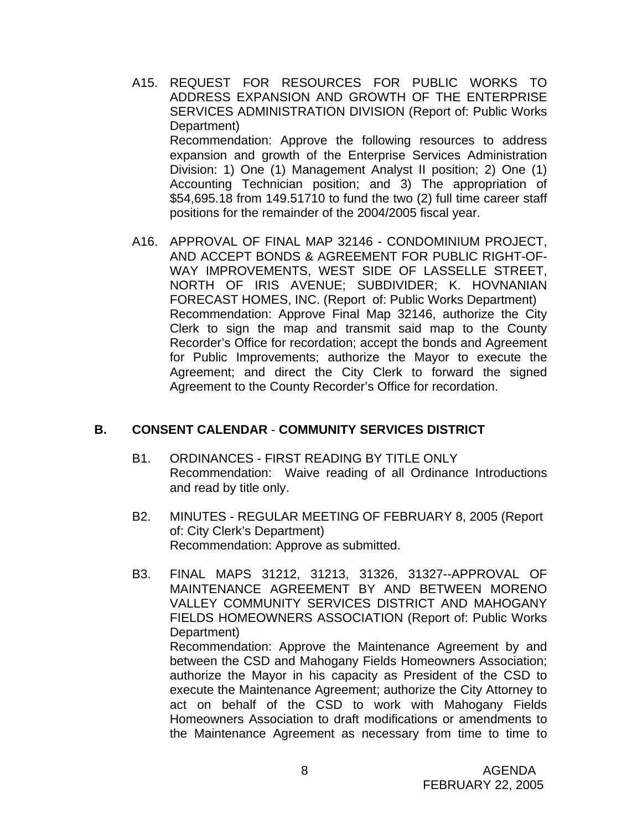- A15. REQUEST FOR RESOURCES FOR PUBLIC WORKS TO ADDRESS EXPANSION AND GROWTH OF THE ENTERPRISE SERVICES ADMINISTRATION DIVISION (Report of: Public Works Department) Recommendation: Approve the following resources to address expansion and growth of the Enterprise Services Administration Division: 1) One (1) Management Analyst II position; 2) One (1) Accounting Technician position; and 3) The appropriation of \$54,695.18 from 149.51710 to fund the two (2) full time career staff positions for the remainder of the 2004/2005 fiscal year.
- A16. APPROVAL OF FINAL MAP 32146 CONDOMINIUM PROJECT, AND ACCEPT BONDS & AGREEMENT FOR PUBLIC RIGHT-OF-WAY IMPROVEMENTS, WEST SIDE OF LASSELLE STREET, NORTH OF IRIS AVENUE; SUBDIVIDER; K. HOVNANIAN FORECAST HOMES, INC. (Report of: Public Works Department) Recommendation: Approve Final Map 32146, authorize the City Clerk to sign the map and transmit said map to the County Recorder's Office for recordation; accept the bonds and Agreement for Public Improvements; authorize the Mayor to execute the Agreement; and direct the City Clerk to forward the signed Agreement to the County Recorder's Office for recordation.

# **B. CONSENT CALENDAR** - **COMMUNITY SERVICES DISTRICT**

- B1. ORDINANCES FIRST READING BY TITLE ONLY Recommendation: Waive reading of all Ordinance Introductions and read by title only.
- B2. MINUTES REGULAR MEETING OF FEBRUARY 8, 2005 (Report of: City Clerk's Department) Recommendation: Approve as submitted.
- B3. FINAL MAPS 31212, 31213, 31326, 31327--APPROVAL OF MAINTENANCE AGREEMENT BY AND BETWEEN MORENO VALLEY COMMUNITY SERVICES DISTRICT AND MAHOGANY FIELDS HOMEOWNERS ASSOCIATION (Report of: Public Works Department) Recommendation: Approve the Maintenance Agreement by and between the CSD and Mahogany Fields Homeowners Association; authorize the Mayor in his capacity as President of the CSD to execute the Maintenance Agreement; authorize the City Attorney to act on behalf of the CSD to work with Mahogany Fields Homeowners Association to draft modifications or amendments to the Maintenance Agreement as necessary from time to time to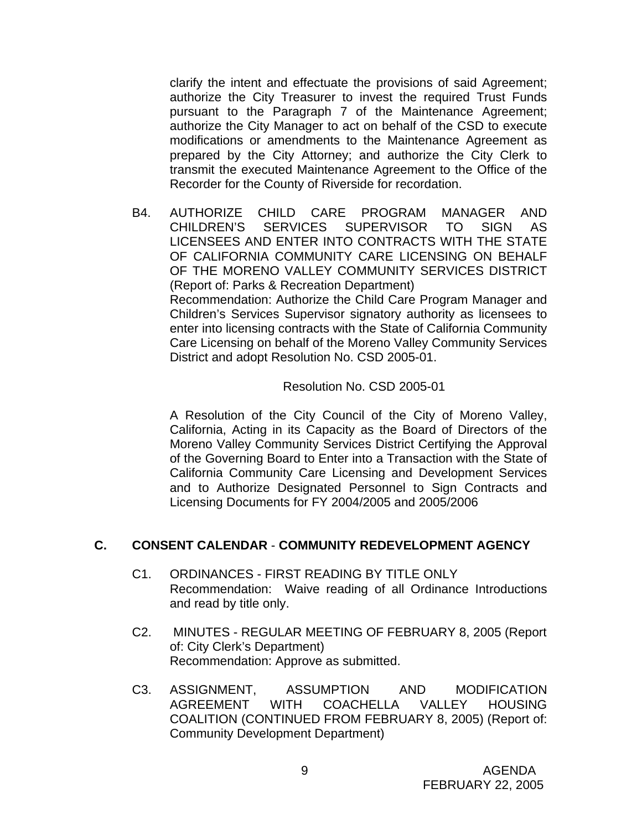clarify the intent and effectuate the provisions of said Agreement; authorize the City Treasurer to invest the required Trust Funds pursuant to the Paragraph 7 of the Maintenance Agreement; authorize the City Manager to act on behalf of the CSD to execute modifications or amendments to the Maintenance Agreement as prepared by the City Attorney; and authorize the City Clerk to transmit the executed Maintenance Agreement to the Office of the Recorder for the County of Riverside for recordation.

B4. AUTHORIZE CHILD CARE PROGRAM MANAGER AND CHILDREN'S SERVICES SUPERVISOR TO SIGN AS LICENSEES AND ENTER INTO CONTRACTS WITH THE STATE OF CALIFORNIA COMMUNITY CARE LICENSING ON BEHALF OF THE MORENO VALLEY COMMUNITY SERVICES DISTRICT (Report of: Parks & Recreation Department) Recommendation: Authorize the Child Care Program Manager and Children's Services Supervisor signatory authority as licensees to enter into licensing contracts with the State of California Community Care Licensing on behalf of the Moreno Valley Community Services District and adopt Resolution No. CSD 2005-01.

### Resolution No. CSD 2005-01

A Resolution of the City Council of the City of Moreno Valley, California, Acting in its Capacity as the Board of Directors of the Moreno Valley Community Services District Certifying the Approval of the Governing Board to Enter into a Transaction with the State of California Community Care Licensing and Development Services and to Authorize Designated Personnel to Sign Contracts and Licensing Documents for FY 2004/2005 and 2005/2006

#### **C. CONSENT CALENDAR** - **COMMUNITY REDEVELOPMENT AGENCY**

- C1. ORDINANCES FIRST READING BY TITLE ONLY Recommendation: Waive reading of all Ordinance Introductions and read by title only.
- C2. MINUTES REGULAR MEETING OF FEBRUARY 8, 2005 (Report of: City Clerk's Department) Recommendation: Approve as submitted.
- C3. ASSIGNMENT, ASSUMPTION AND MODIFICATION AGREEMENT WITH COACHELLA VALLEY HOUSING COALITION (CONTINUED FROM FEBRUARY 8, 2005) (Report of: Community Development Department)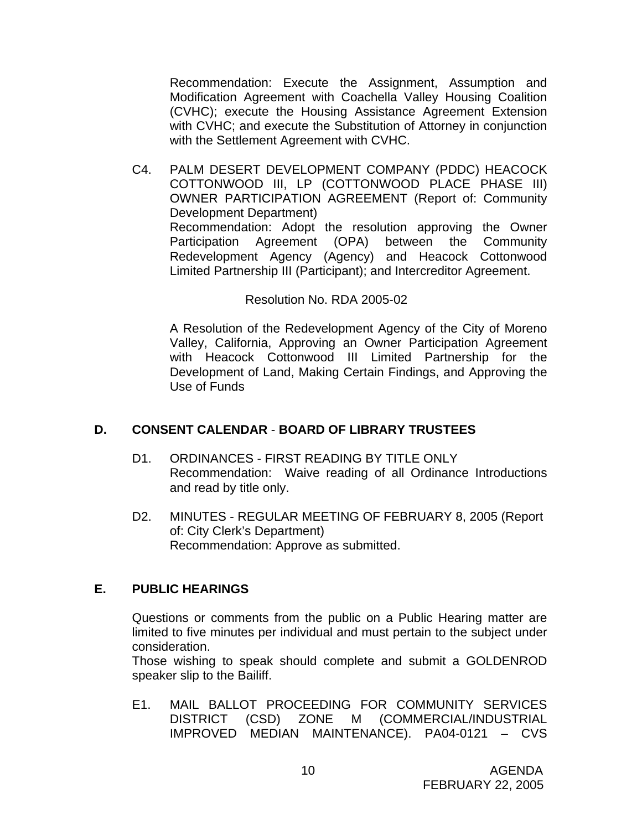Recommendation: Execute the Assignment, Assumption and Modification Agreement with Coachella Valley Housing Coalition (CVHC); execute the Housing Assistance Agreement Extension with CVHC; and execute the Substitution of Attorney in conjunction with the Settlement Agreement with CVHC.

C4. PALM DESERT DEVELOPMENT COMPANY (PDDC) HEACOCK COTTONWOOD III, LP (COTTONWOOD PLACE PHASE III) OWNER PARTICIPATION AGREEMENT (Report of: Community Development Department) Recommendation: Adopt the resolution approving the Owner Participation Agreement (OPA) between the Community Redevelopment Agency (Agency) and Heacock Cottonwood Limited Partnership III (Participant); and Intercreditor Agreement.

# Resolution No. RDA 2005-02

A Resolution of the Redevelopment Agency of the City of Moreno Valley, California, Approving an Owner Participation Agreement with Heacock Cottonwood III Limited Partnership for the Development of Land, Making Certain Findings, and Approving the Use of Funds

# **D. CONSENT CALENDAR** - **BOARD OF LIBRARY TRUSTEES**

- D1. ORDINANCES FIRST READING BY TITLE ONLY Recommendation: Waive reading of all Ordinance Introductions and read by title only.
- D2. MINUTES REGULAR MEETING OF FEBRUARY 8, 2005 (Report of: City Clerk's Department) Recommendation: Approve as submitted.

# **E. PUBLIC HEARINGS**

Questions or comments from the public on a Public Hearing matter are limited to five minutes per individual and must pertain to the subject under consideration.

 Those wishing to speak should complete and submit a GOLDENROD speaker slip to the Bailiff.

E1. MAIL BALLOT PROCEEDING FOR COMMUNITY SERVICES DISTRICT (CSD) ZONE M (COMMERCIAL/INDUSTRIAL IMPROVED MEDIAN MAINTENANCE). PA04-0121 – CVS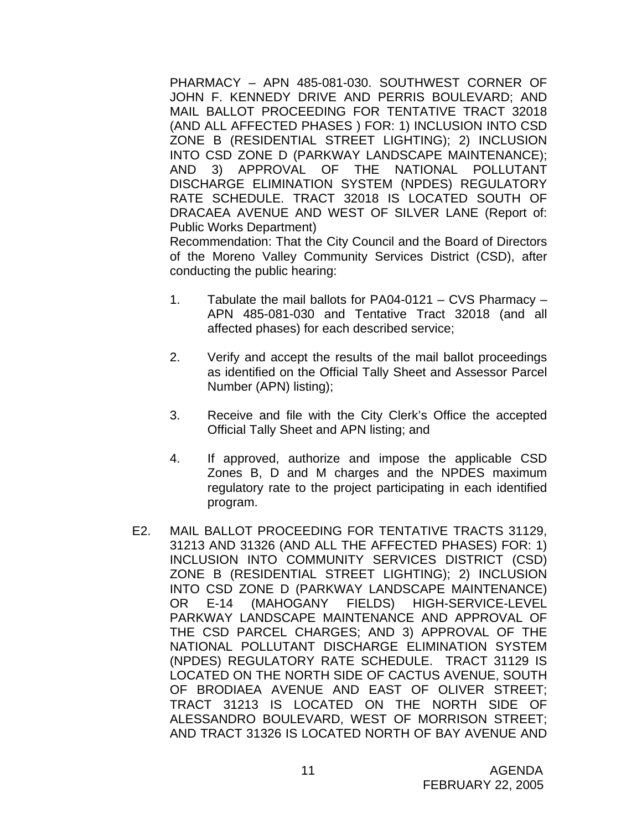PHARMACY – APN 485-081-030. SOUTHWEST CORNER OF JOHN F. KENNEDY DRIVE AND PERRIS BOULEVARD; AND MAIL BALLOT PROCEEDING FOR TENTATIVE TRACT 32018 (AND ALL AFFECTED PHASES ) FOR: 1) INCLUSION INTO CSD ZONE B (RESIDENTIAL STREET LIGHTING); 2) INCLUSION INTO CSD ZONE D (PARKWAY LANDSCAPE MAINTENANCE); AND 3) APPROVAL OF THE NATIONAL POLLUTANT DISCHARGE ELIMINATION SYSTEM (NPDES) REGULATORY RATE SCHEDULE. TRACT 32018 IS LOCATED SOUTH OF DRACAEA AVENUE AND WEST OF SILVER LANE (Report of: Public Works Department)

Recommendation: That the City Council and the Board of Directors of the Moreno Valley Community Services District (CSD), after conducting the public hearing:

- 1. Tabulate the mail ballots for PA04-0121 CVS Pharmacy APN 485-081-030 and Tentative Tract 32018 (and all affected phases) for each described service;
- 2. Verify and accept the results of the mail ballot proceedings as identified on the Official Tally Sheet and Assessor Parcel Number (APN) listing);
- 3. Receive and file with the City Clerk's Office the accepted Official Tally Sheet and APN listing; and
- 4. If approved, authorize and impose the applicable CSD Zones B, D and M charges and the NPDES maximum regulatory rate to the project participating in each identified program.
- E2. MAIL BALLOT PROCEEDING FOR TENTATIVE TRACTS 31129, 31213 AND 31326 (AND ALL THE AFFECTED PHASES) FOR: 1) INCLUSION INTO COMMUNITY SERVICES DISTRICT (CSD) ZONE B (RESIDENTIAL STREET LIGHTING); 2) INCLUSION INTO CSD ZONE D (PARKWAY LANDSCAPE MAINTENANCE) OR E-14 (MAHOGANY FIELDS) HIGH-SERVICE-LEVEL PARKWAY LANDSCAPE MAINTENANCE AND APPROVAL OF THE CSD PARCEL CHARGES; AND 3) APPROVAL OF THE NATIONAL POLLUTANT DISCHARGE ELIMINATION SYSTEM (NPDES) REGULATORY RATE SCHEDULE. TRACT 31129 IS LOCATED ON THE NORTH SIDE OF CACTUS AVENUE, SOUTH OF BRODIAEA AVENUE AND EAST OF OLIVER STREET; TRACT 31213 IS LOCATED ON THE NORTH SIDE OF ALESSANDRO BOULEVARD, WEST OF MORRISON STREET; AND TRACT 31326 IS LOCATED NORTH OF BAY AVENUE AND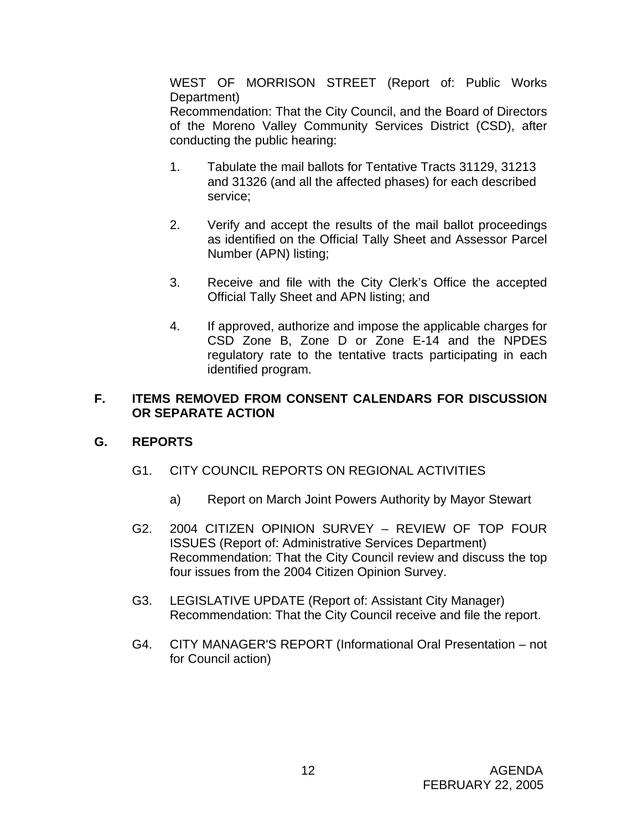WEST OF MORRISON STREET (Report of: Public Works Department)

Recommendation: That the City Council, and the Board of Directors of the Moreno Valley Community Services District (CSD), after conducting the public hearing:

- 1. Tabulate the mail ballots for Tentative Tracts 31129, 31213 and 31326 (and all the affected phases) for each described service;
- 2. Verify and accept the results of the mail ballot proceedings as identified on the Official Tally Sheet and Assessor Parcel Number (APN) listing;
- 3. Receive and file with the City Clerk's Office the accepted Official Tally Sheet and APN listing; and
- 4. If approved, authorize and impose the applicable charges for CSD Zone B, Zone D or Zone E-14 and the NPDES regulatory rate to the tentative tracts participating in each identified program.

# **F. ITEMS REMOVED FROM CONSENT CALENDARS FOR DISCUSSION OR SEPARATE ACTION**

# **G. REPORTS**

- G1. CITY COUNCIL REPORTS ON REGIONAL ACTIVITIES
	- a) Report on March Joint Powers Authority by Mayor Stewart
- G2. 2004 CITIZEN OPINION SURVEY REVIEW OF TOP FOUR ISSUES (Report of: Administrative Services Department) Recommendation: That the City Council review and discuss the top four issues from the 2004 Citizen Opinion Survey.
- G3. LEGISLATIVE UPDATE (Report of: Assistant City Manager) Recommendation: That the City Council receive and file the report.
- G4. CITY MANAGER'S REPORT (Informational Oral Presentation not for Council action)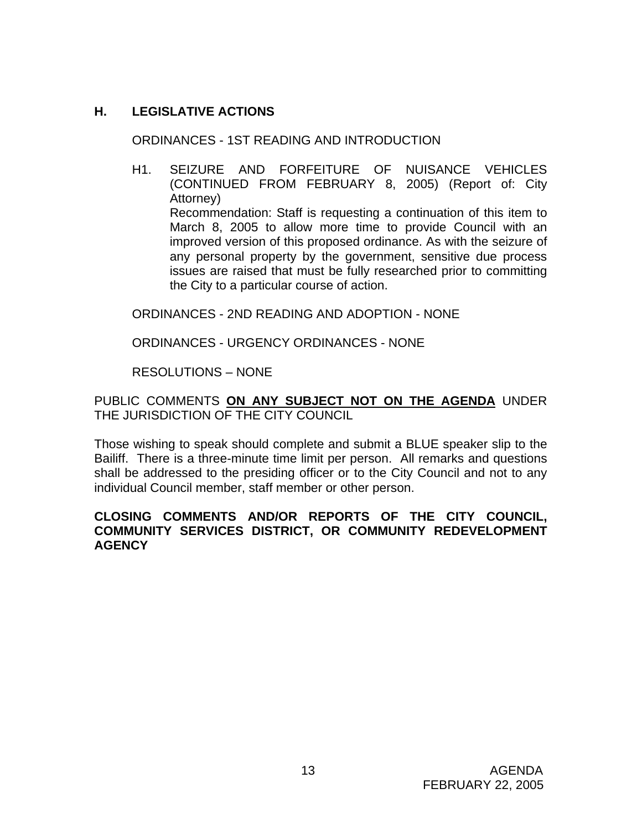# **H. LEGISLATIVE ACTIONS**

ORDINANCES - 1ST READING AND INTRODUCTION

H1. SEIZURE AND FORFEITURE OF NUISANCE VEHICLES (CONTINUED FROM FEBRUARY 8, 2005) (Report of: City Attorney) Recommendation: Staff is requesting a continuation of this item to March 8, 2005 to allow more time to provide Council with an improved version of this proposed ordinance. As with the seizure of any personal property by the government, sensitive due process issues are raised that must be fully researched prior to committing the City to a particular course of action.

ORDINANCES - 2ND READING AND ADOPTION - NONE

ORDINANCES - URGENCY ORDINANCES - NONE

RESOLUTIONS – NONE

PUBLIC COMMENTS **ON ANY SUBJECT NOT ON THE AGENDA** UNDER THE JURISDICTION OF THE CITY COUNCIL

Those wishing to speak should complete and submit a BLUE speaker slip to the Bailiff. There is a three-minute time limit per person. All remarks and questions shall be addressed to the presiding officer or to the City Council and not to any individual Council member, staff member or other person.

# **CLOSING COMMENTS AND/OR REPORTS OF THE CITY COUNCIL, COMMUNITY SERVICES DISTRICT, OR COMMUNITY REDEVELOPMENT AGENCY**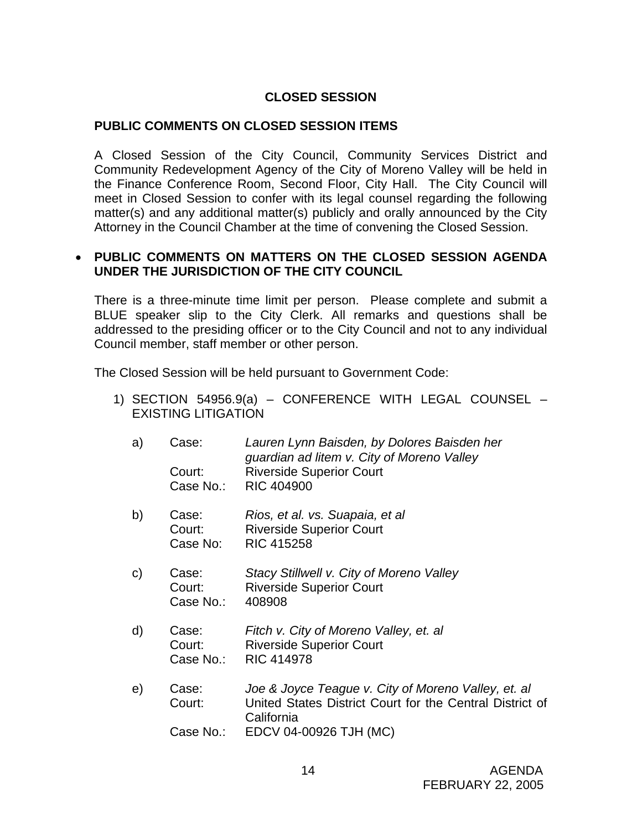# **CLOSED SESSION**

### **PUBLIC COMMENTS ON CLOSED SESSION ITEMS**

A Closed Session of the City Council, Community Services District and Community Redevelopment Agency of the City of Moreno Valley will be held in the Finance Conference Room, Second Floor, City Hall. The City Council will meet in Closed Session to confer with its legal counsel regarding the following matter(s) and any additional matter(s) publicly and orally announced by the City Attorney in the Council Chamber at the time of convening the Closed Session.

### • **PUBLIC COMMENTS ON MATTERS ON THE CLOSED SESSION AGENDA UNDER THE JURISDICTION OF THE CITY COUNCIL**

There is a three-minute time limit per person. Please complete and submit a BLUE speaker slip to the City Clerk. All remarks and questions shall be addressed to the presiding officer or to the City Council and not to any individual Council member, staff member or other person.

The Closed Session will be held pursuant to Government Code:

- 1) SECTION 54956.9(a) CONFERENCE WITH LEGAL COUNSEL EXISTING LITIGATION
	- a) Case: *Lauren Lynn Baisden, by Dolores Baisden her guardian ad litem v. City of Moreno Valley* Court: Riverside Superior Court Case No.: RIC 404900
	- b) Case: *Rios, et al. vs. Suapaia, et al* Court: Riverside Superior Court Case No: RIC 415258
	- c) Case: *Stacy Stillwell v. City of Moreno Valley*  Court: Riverside Superior Court Case No.: 408908
	- d) Case: *Fitch v. City of Moreno Valley, et. al*  Court: Riverside Superior Court Case No.: RIC 414978
	- e) Case: *Joe & Joyce Teague v. City of Moreno Valley, et. al*  Court: United States District Court for the Central District of California
		- Case No.: EDCV 04-00926 TJH (MC)